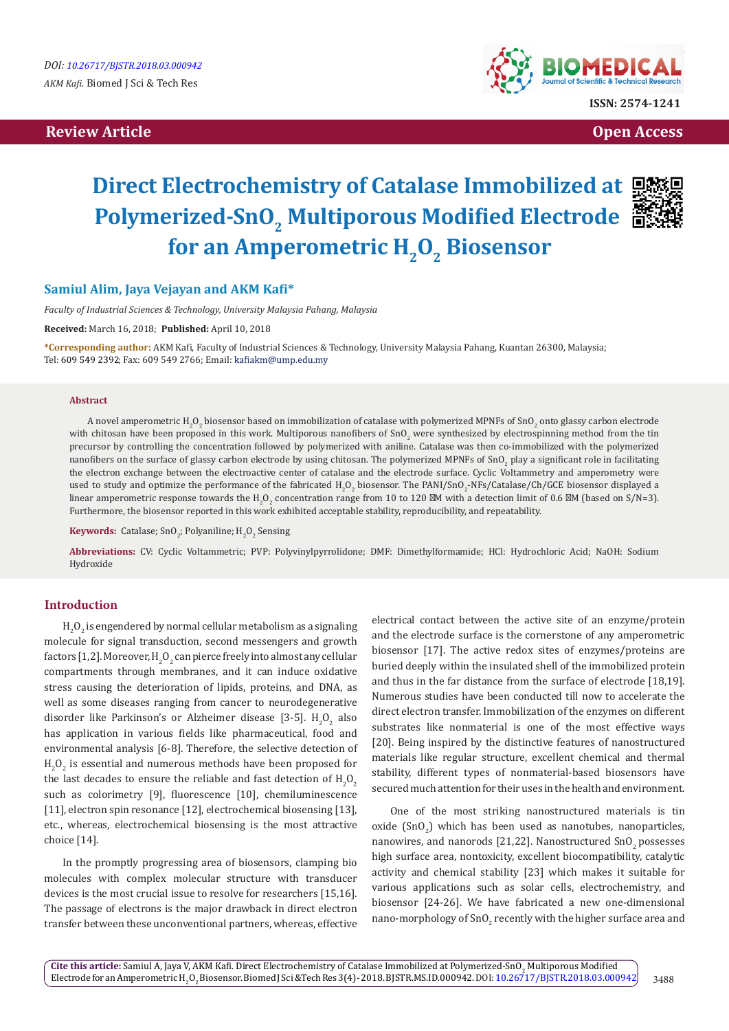## **Review Article Contracts and Contracts and Contracts and Contracts and Contracts and Contracts and Contracts and Contracts and Contracts and Contracts and Contracts and Contracts and Contracts and Contracts and Contracts**



# **Direct Electrochemistry of Catalase Immobilized at Polymerized-SnO, Multiporous Modified Electrode 當** for an Amperometric H<sub>2</sub>O<sub>2</sub> Biosensor



## **Samiul Alim, Jaya Vejayan and AKM Kafi\***

*Faculty of Industrial Sciences & Technology, University Malaysia Pahang, Malaysia*

**Received:** March 16, 2018; **Published:** April 10, 2018

**\*Corresponding author:** AKM Kafi, Faculty of Industrial Sciences & Technology, University Malaysia Pahang, Kuantan 26300, Malaysia; Tel: 609 549 2392; Fax: 609 549 2766; Email: kafiakm@ump.edu.my

#### **Abstract**

A novel amperometric H<sub>2</sub>O<sub>2</sub> biosensor based on immobilization of catalase with polymerized MPNFs of SnO<sub>2</sub> onto glassy carbon electrode with chitosan have been proposed in this work. Multiporous nanofibers of SnO<sub>2</sub> were synthesized by electrospinning method from the tin precursor by controlling the concentration followed by polymerized with aniline. Catalase was then co-immobilized with the polymerized nanofibers on the surface of glassy carbon electrode by using chitosan. The polymerized MPNFs of SnO<sub>2</sub> play a significant role in facilitating the electron exchange between the electroactive center of catalase and the electrode surface. Cyclic Voltammetry and amperometry were used to study and optimize the performance of the fabricated  $\rm H_2O_2$  biosensor. The PANI/SnO $_2$ -NFs/Catalase/Ch/GCE biosensor displayed a linear amperometric response towards the H<sub>2</sub>O<sub>2</sub> concentration range from 10 to 120 M with a detection limit of 0.6 M (based on S/N=3). Furthermore, the biosensor reported in this work exhibited acceptable stability, reproducibility, and repeatability.

**Keywords:** Catalase; SnO<sub>2</sub>; Polyaniline;  $H_2O_2$  Sensing

**Abbreviations:** CV: Cyclic Voltammetric; PVP: Polyvinylpyrrolidone; DMF: Dimethylformamide; HCl: Hydrochloric Acid; NaOH: Sodium Hydroxide

#### **Introduction**

 ${\rm H}_{2}{\rm O}_{2}$  is engendered by normal cellular metabolism as a signaling molecule for signal transduction, second messengers and growth factors [1,2]. Moreover, H $_{\rm 2}$ O $_{\rm 2}$  can pierce freely into almost any cellular compartments through membranes, and it can induce oxidative stress causing the deterioration of lipids, proteins, and DNA, as well as some diseases ranging from cancer to neurodegenerative disorder like Parkinson's or Alzheimer disease [3-5].  $H_2O_2$  also has application in various fields like pharmaceutical, food and environmental analysis [6-8]. Therefore, the selective detection of  ${\rm H}_{2}{\rm O}_{2}$  is essential and numerous methods have been proposed for the last decades to ensure the reliable and fast detection of  ${\rm H}_{2}{\rm O}_{2}$ such as colorimetry [9], fluorescence [10], chemiluminescence [11], electron spin resonance [12], electrochemical biosensing [13], etc., whereas, electrochemical biosensing is the most attractive choice [14].

In the promptly progressing area of biosensors, clamping bio molecules with complex molecular structure with transducer devices is the most crucial issue to resolve for researchers [15,16]. The passage of electrons is the major drawback in direct electron transfer between these unconventional partners, whereas, effective

electrical contact between the active site of an enzyme/protein and the electrode surface is the cornerstone of any amperometric biosensor [17]. The active redox sites of enzymes/proteins are buried deeply within the insulated shell of the immobilized protein and thus in the far distance from the surface of electrode [18,19]. Numerous studies have been conducted till now to accelerate the direct electron transfer. Immobilization of the enzymes on different substrates like nonmaterial is one of the most effective ways [20]. Being inspired by the distinctive features of nanostructured materials like regular structure, excellent chemical and thermal stability, different types of nonmaterial-based biosensors have secured much attention for their uses in the health and environment.

One of the most striking nanostructured materials is tin  $\alpha$  (SnO<sub>2</sub>) which has been used as nanotubes, nanoparticles, nanowires, and nanorods [21,22]. Nanostructured SnO<sub>2</sub> possesses high surface area, nontoxicity, excellent biocompatibility, catalytic activity and chemical stability [23] which makes it suitable for various applications such as solar cells, electrochemistry, and biosensor [24-26]. We have fabricated a new one-dimensional nano-morphology of  $\text{SnO}_2$  recently with the higher surface area and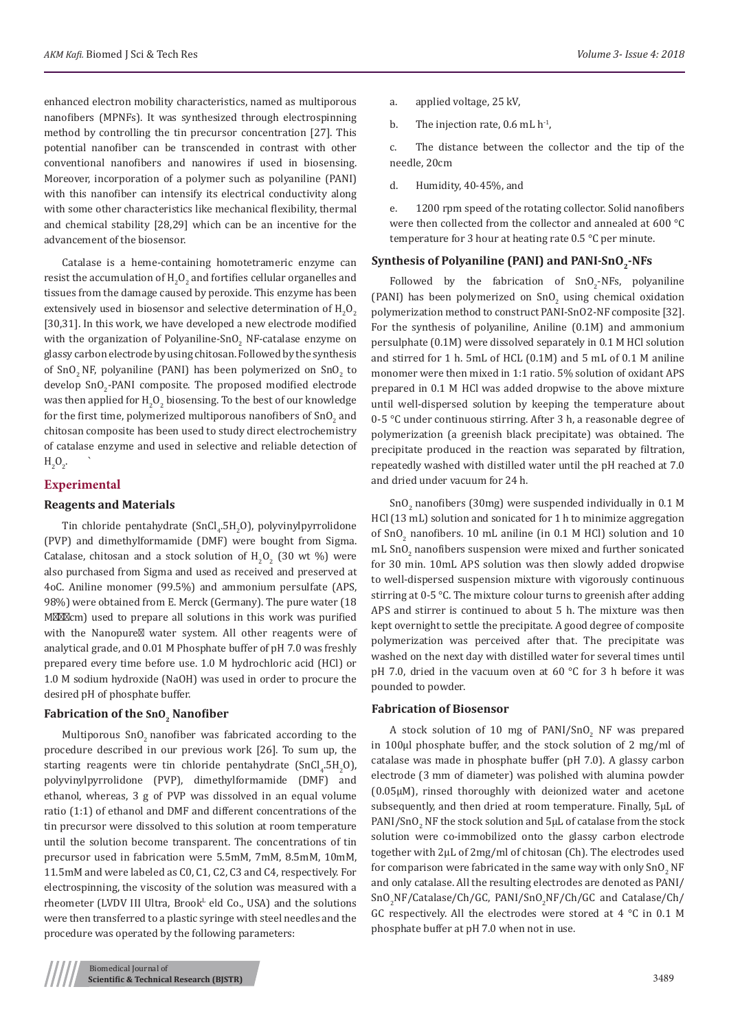enhanced electron mobility characteristics, named as multiporous nanofibers (MPNFs). It was synthesized through electrospinning method by controlling the tin precursor concentration [27]. This potential nanofiber can be transcended in contrast with other conventional nanofibers and nanowires if used in biosensing. Moreover, incorporation of a polymer such as polyaniline (PANI) with this nanofiber can intensify its electrical conductivity along with some other characteristics like mechanical flexibility, thermal and chemical stability [28,29] which can be an incentive for the advancement of the biosensor.

Catalase is a heme-containing homotetrameric enzyme can resist the accumulation of  $\text{H}_{\text{2}}\text{O}_{\text{2}}$  and fortifies cellular organelles and tissues from the damage caused by peroxide. This enzyme has been extensively used in biosensor and selective determination of  $\mathrm{H}_{2}\mathrm{O}_{2}$ [30,31]. In this work, we have developed a new electrode modified with the organization of Polyaniline-SnO<sub>2</sub> NF-catalase enzyme on glassy carbon electrode by using chitosan. Followed by the synthesis of SnO<sub>2</sub> NF, polyaniline (PANI) has been polymerized on SnO<sub>2</sub> to develop  $\text{SnO}_2\text{-PANI}$  composite. The proposed modified electrode was then applied for  $\text{H}_{2}\text{O}_{2}$  biosensing. To the best of our knowledge for the first time, polymerized multiporous nanofibers of SnO $_2$  and chitosan composite has been used to study direct electrochemistry of catalase enzyme and used in selective and reliable detection of  $H_2O_2$ .

## **Experimental**

## **Reagents and Materials**

Tin chloride pentahydrate (Sn $Cl_4$ .5H<sub>2</sub>O), polyvinylpyrrolidone (PVP) and dimethylformamide (DMF) were bought from Sigma. Catalase, chitosan and a stock solution of  $H_2O_2$  (30 wt %) were also purchased from Sigma and used as received and preserved at 4oC. Aniline monomer (99.5%) and ammonium persulfate (APS, 98%) were obtained from E. Merck (Germany). The pure water (18 M cm) used to prepare all solutions in this work was purified with the Nanopure water system. All other reagents were of analytical grade, and 0.01 M Phosphate buffer of pH 7.0 was freshly prepared every time before use. 1.0 M hydrochloric acid (HCl) or 1.0 M sodium hydroxide (NaOH) was used in order to procure the desired pH of phosphate buffer.

## **Fabrication of the SnO<sub>2</sub> Nanofiber**

Multiporous SnO<sub>2</sub> nanofiber was fabricated according to the procedure described in our previous work [26]. To sum up, the starting reagents were tin chloride pentahydrate (SnCl<sub>4</sub>.5H<sub>2</sub>O), polyvinylpyrrolidone (PVP), dimethylformamide (DMF) and ethanol, whereas, 3 g of PVP was dissolved in an equal volume ratio (1:1) of ethanol and DMF and different concentrations of the tin precursor were dissolved to this solution at room temperature until the solution become transparent. The concentrations of tin precursor used in fabrication were 5.5mM, 7mM, 8.5mM, 10mM, 11.5mM and were labeled as C0, C1, C2, C3 and C4, respectively. For electrospinning, the viscosity of the solution was measured with a rheometer (LVDV III Ultra, Brook<sup>L</sup> eld Co., USA) and the solutions were then transferred to a plastic syringe with steel needles and the procedure was operated by the following parameters:

- a. applied voltage, 25 kV,
- b. The injection rate,  $0.6$  mL  $h^{-1}$ ,

c. The distance between the collector and the tip of the needle, 20cm

d. Humidity, 40-45%, and

e. 1200 rpm speed of the rotating collector. Solid nanofibers were then collected from the collector and annealed at 600 °C temperature for 3 hour at heating rate 0.5 °C per minute.

## Synthesis of Polyaniline (PANI) and PANI-SnO<sub>2</sub>-NFs

Followed by the fabrication of  $\text{SnO}_2\text{-NFs}$ , polyaniline (PANI) has been polymerized on  $SnO<sub>2</sub>$  using chemical oxidation polymerization method to construct PANI-SnO2-NF composite [32]. For the synthesis of polyaniline, Aniline (0.1M) and ammonium persulphate (0.1M) were dissolved separately in 0.1 M HCl solution and stirred for 1 h. 5mL of HCL (0.1M) and 5 mL of 0.1 M aniline monomer were then mixed in 1:1 ratio. 5% solution of oxidant APS prepared in 0.1 M HCl was added dropwise to the above mixture until well-dispersed solution by keeping the temperature about 0-5 °C under continuous stirring. After 3 h, a reasonable degree of polymerization (a greenish black precipitate) was obtained. The precipitate produced in the reaction was separated by filtration, repeatedly washed with distilled water until the pH reached at 7.0 and dried under vacuum for 24 h.

 $\text{SnO}_2$  nanofibers (30mg) were suspended individually in 0.1 M HCl (13 mL) solution and sonicated for 1 h to minimize aggregation of  $SnO<sub>2</sub>$  nanofibers. 10 mL aniline (in 0.1 M HCl) solution and 10  $\mathrm{mL}$  SnO<sub>2</sub> nanofibers suspension were mixed and further sonicated for 30 min. 10mL APS solution was then slowly added dropwise to well-dispersed suspension mixture with vigorously continuous stirring at 0-5 °C. The mixture colour turns to greenish after adding APS and stirrer is continued to about 5 h. The mixture was then kept overnight to settle the precipitate. A good degree of composite polymerization was perceived after that. The precipitate was washed on the next day with distilled water for several times until pH 7.0, dried in the vacuum oven at 60 °C for 3 h before it was pounded to powder.

#### **Fabrication of Biosensor**

A stock solution of 10 mg of  $PANI/SnO<sub>2</sub>$  NF was prepared in 100μl phosphate buffer, and the stock solution of 2 mg/ml of catalase was made in phosphate buffer (pH 7.0). A glassy carbon electrode (3 mm of diameter) was polished with alumina powder (0.05μM), rinsed thoroughly with deionized water and acetone subsequently, and then dried at room temperature. Finally, 5μL of  $\text{PANI}/\text{SnO}_2$  NF the stock solution and  $\text{SPL}$  of catalase from the stock solution were co-immobilized onto the glassy carbon electrode together with 2μL of 2mg/ml of chitosan (Ch). The electrodes used for comparison were fabricated in the same way with only  $\text{SnO}_2$  NF and only catalase. All the resulting electrodes are denoted as PANI/ SnO<sub>2</sub>NF/Catalase/Ch/GC, PANI/SnO<sub>2</sub>NF/Ch/GC and Catalase/Ch/ GC respectively. All the electrodes were stored at 4 °C in 0.1 M phosphate buffer at pH 7.0 when not in use.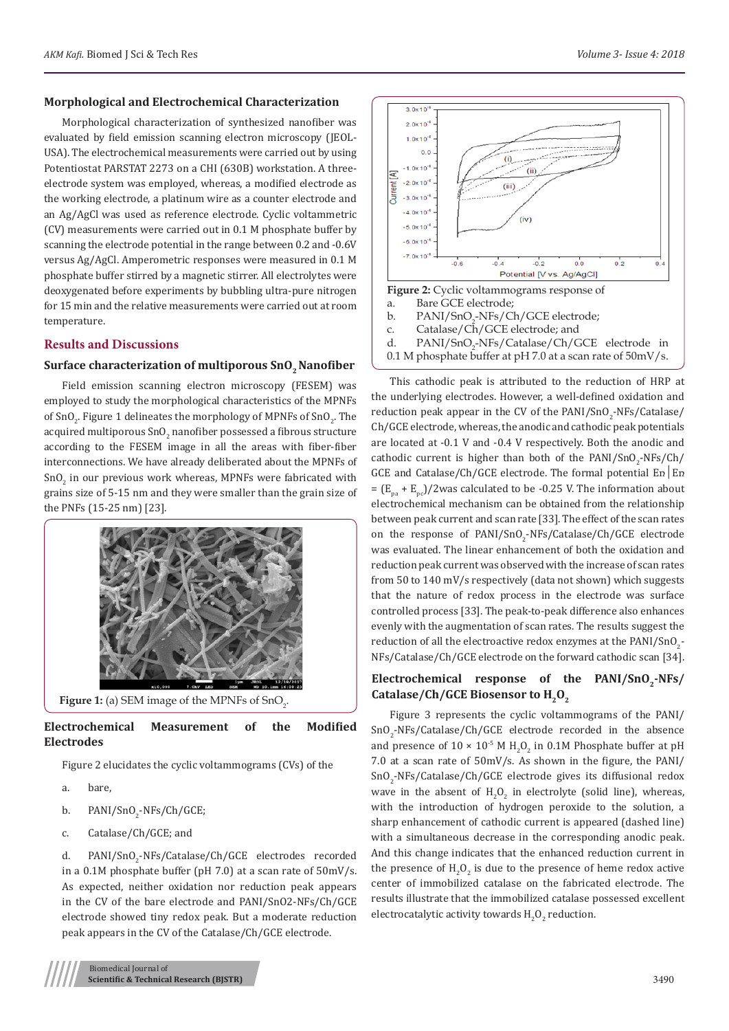#### **Morphological and Electrochemical Characterization**

Morphological characterization of synthesized nanofiber was evaluated by field emission scanning electron microscopy (JEOL-USA). The electrochemical measurements were carried out by using Potentiostat PARSTAT 2273 on a CHI (630B) workstation. A threeelectrode system was employed, whereas, a modified electrode as the working electrode, a platinum wire as a counter electrode and an Ag/AgCl was used as reference electrode. Cyclic voltammetric (CV) measurements were carried out in 0.1 M phosphate buffer by scanning the electrode potential in the range between 0.2 and -0.6V versus Ag/AgCl. Amperometric responses were measured in 0.1 M phosphate buffer stirred by a magnetic stirrer. All electrolytes were deoxygenated before experiments by bubbling ultra-pure nitrogen for 15 min and the relative measurements were carried out at room temperature.

### **Results and Discussions**

### **Surface characterization of multiporous SnO<sub>2</sub> Nanofiber**

Field emission scanning electron microscopy (FESEM) was employed to study the morphological characteristics of the MPNFs of SnO<sub>2</sub>. Figure 1 delineates the morphology of MPNFs of SnO<sub>2</sub>. The acquired multiporous SnO $_2$  nanofiber possessed a fibrous structure according to the FESEM image in all the areas with fiber-fiber interconnections. We have already deliberated about the MPNFs of  $\mathsf{SnO}_2$  in our previous work whereas, MPNFs were fabricated with grains size of 5-15 nm and they were smaller than the grain size of the PNFs (15-25 nm) [23].



## **Electrochemical Measurement of the Modified Electrodes**

Figure 2 elucidates the cyclic voltammograms (CVs) of the

a. bare,

- b. PANI/SnO<sub>2</sub>-NFs/Ch/GCE;
- c. Catalase/Ch/GCE; and

d. PANI/SnO<sub>2</sub>-NFs/Catalase/Ch/GCE electrodes recorded in a 0.1M phosphate buffer (pH 7.0) at a scan rate of 50mV/s. As expected, neither oxidation nor reduction peak appears in the CV of the bare electrode and PANI/SnO2-NFs/Ch/GCE electrode showed tiny redox peak. But a moderate reduction peak appears in the CV of the Catalase/Ch/GCE electrode.



This cathodic peak is attributed to the reduction of HRP at the underlying electrodes. However, a well-defined oxidation and reduction peak appear in the CV of the  $\text{PANI/SnO}_2\text{-NFS/Catalase/}$ Ch/GCE electrode, whereas, the anodic and cathodic peak potentials are located at -0.1 V and -0.4 V respectively. Both the anodic and cathodic current is higher than both of the  $\text{PANI}/\text{SnO}_2\text{-NFS}/\text{Ch}/2$ GCE and Catalase/Ch/GCE electrode. The formal potential Eռ│Eռ =  $(E_{p} + E_{p}^{\text{}})/2$  was calculated to be -0.25 V. The information about electrochemical mechanism can be obtained from the relationship between peak current and scan rate [33]. The effect of the scan rates on the response of PANI/SnO<sub>2</sub>-NFs/Catalase/Ch/GCE electrode was evaluated. The linear enhancement of both the oxidation and reduction peak current was observed with the increase of scan rates from 50 to 140 mV/s respectively (data not shown) which suggests that the nature of redox process in the electrode was surface controlled process [33]. The peak-to-peak difference also enhances evenly with the augmentation of scan rates. The results suggest the reduction of all the electroactive redox enzymes at the  $\mathrm{PANI}/\mathrm{SnO}_2$ -NFs/Catalase/Ch/GCE electrode on the forward cathodic scan [34].

## Electrochemical response of the PANI/SnO<sub>2</sub>-NFs/ Catalase/Ch/GCE Biosensor to H<sub>2</sub>O<sub>2</sub>

Figure 3 represents the cyclic voltammograms of the PANI/  $\text{SnO}_2\text{-NFs}/\text{Catalase}/\text{Ch}/\text{GCE}$  electrode recorded in the absence and presence of  $10 \times 10^{-5}$  M  $H_2O_2$  in 0.1M Phosphate buffer at pH 7.0 at a scan rate of 50mV/s. As shown in the figure, the PANI/  $\text{SnO}_2\text{-NFs}/\text{Catalase}/\text{Ch}/\text{GCE}$  electrode gives its diffusional redox wave in the absent of  $H_2O_2$  in electrolyte (solid line), whereas, with the introduction of hydrogen peroxide to the solution, a sharp enhancement of cathodic current is appeared (dashed line) with a simultaneous decrease in the corresponding anodic peak. And this change indicates that the enhanced reduction current in the presence of  $H_2O_2$  is due to the presence of heme redox active center of immobilized catalase on the fabricated electrode. The results illustrate that the immobilized catalase possessed excellent electrocatalytic activity towards  $H_2O_2$  reduction.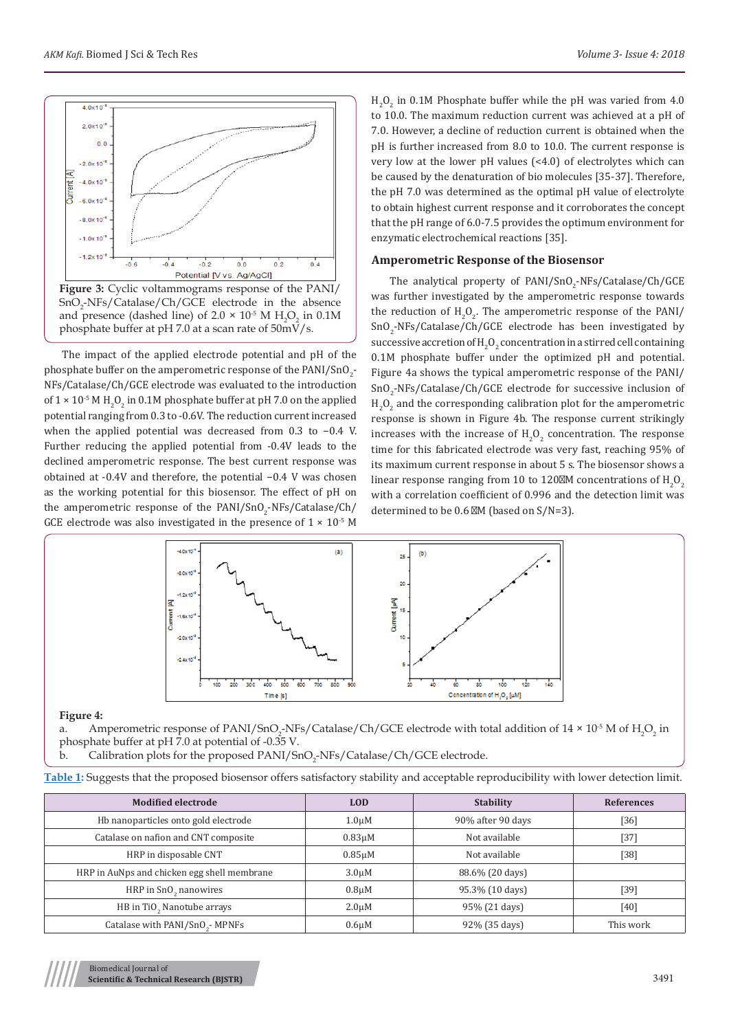

The impact of the applied electrode potential and pH of the phosphate buffer on the amperometric response of the  $\mathrm{PAN1/SnO}_{2}$ -NFs/Catalase/Ch/GCE electrode was evaluated to the introduction of  $1 \times 10^{-5}$  M H<sub>2</sub>O<sub>2</sub> in 0.1M phosphate buffer at pH 7.0 on the applied potential ranging from 0.3 to -0.6V. The reduction current increased when the applied potential was decreased from 0.3 to −0.4 V. Further reducing the applied potential from -0.4V leads to the declined amperometric response. The best current response was obtained at -0.4V and therefore, the potential −0.4 V was chosen as the working potential for this biosensor. The effect of pH on the amperometric response of the PANI/SnO<sub>2</sub>-NFs/Catalase/Ch/ GCE electrode was also investigated in the presence of  $1 \times 10^{-5}$  M

 $H_2O_2$  in 0.1M Phosphate buffer while the pH was varied from 4.0 to 10.0. The maximum reduction current was achieved at a pH of 7.0. However, a decline of reduction current is obtained when the pH is further increased from 8.0 to 10.0. The current response is very low at the lower pH values (<4.0) of electrolytes which can be caused by the denaturation of bio molecules [35-37]. Therefore, the pH 7.0 was determined as the optimal pH value of electrolyte to obtain highest current response and it corroborates the concept that the pH range of 6.0-7.5 provides the optimum environment for enzymatic electrochemical reactions [35].

#### **Amperometric Response of the Biosensor**

The analytical property of PANI/SnO<sub>2</sub>-NFs/Catalase/Ch/GCE was further investigated by the amperometric response towards the reduction of  $H_2O_2$ . The amperometric response of the PANI/  $\text{SnO}_2\text{-NFs}/\text{Catalase}/\text{Ch}/\text{GCE}$  electrode has been investigated by successive accretion of  $\text{H}_{2}\text{O}_{2}$  concentration in a stirred cell containing 0.1M phosphate buffer under the optimized pH and potential. Figure 4a shows the typical amperometric response of the PANI/  $\text{SnO}_2\text{-NFs/Catalase/Ch/GCE}$  electrode for successive inclusion of  $_{2}O_{2}$  and the corresponding calibration plot for the amperometric response is shown in Figure 4b. The response current strikingly increases with the increase of  $H_2O_2$  concentration. The response time for this fabricated electrode was very fast, reaching 95% of its maximum current response in about 5 s. The biosensor shows a linear response ranging from 10 to 120 M concentrations of  $H_2O_2$ with a correlation coefficient of 0.996 and the detection limit was determined to be 0.6 M (based on S/N=3).



#### **Figure 4:**

a. Amperometric response of PANI/SnO<sub>2</sub>-NFs/Catalase/Ch/GCE electrode with total addition of  $14 \times 10^5$  M of  $H_2O_2$  in phosphate buffer at pH 7.0 at potential of -0.35 V.

b. Calibration plots for the proposed PANI/SnO<sub>2</sub>-NFs/Catalase/Ch/GCE electrode.

|  |  | Table 1: Suggests that the proposed biosensor offers satisfactory stability and acceptable reproducibility with lower detection limit. |  |
|--|--|----------------------------------------------------------------------------------------------------------------------------------------|--|
|  |  |                                                                                                                                        |  |

| <b>Modified electrode</b>                   | <b>LOD</b>         | <b>Stability</b>  | References |
|---------------------------------------------|--------------------|-------------------|------------|
| Hb nanoparticles onto gold electrode        | 1.0 <sub>µ</sub> M | 90% after 90 days | [36]       |
| Catalase on nafion and CNT composite        | $0.83 \mu M$       | Not available     | $[37]$     |
| HRP in disposable CNT                       | $0.85 \mu M$       | Not available     | [38]       |
| HRP in AuNps and chicken egg shell membrane | 3.0 <sub>µ</sub> M | 88.6% (20 days)   |            |
| HRP in SnO <sub>2</sub> nanowires           | $0.8 \mu M$        | 95.3% (10 days)   | [39]       |
| HB in TiO <sub>2</sub> Nanotube arrays      | $2.0 \mu M$        | 95% (21 days)     | $[40]$     |
| Catalase with PANI/SnO <sub>2</sub> -MPNFs  | 0.6 <sub>µ</sub> M | 92% (35 days)     | This work  |

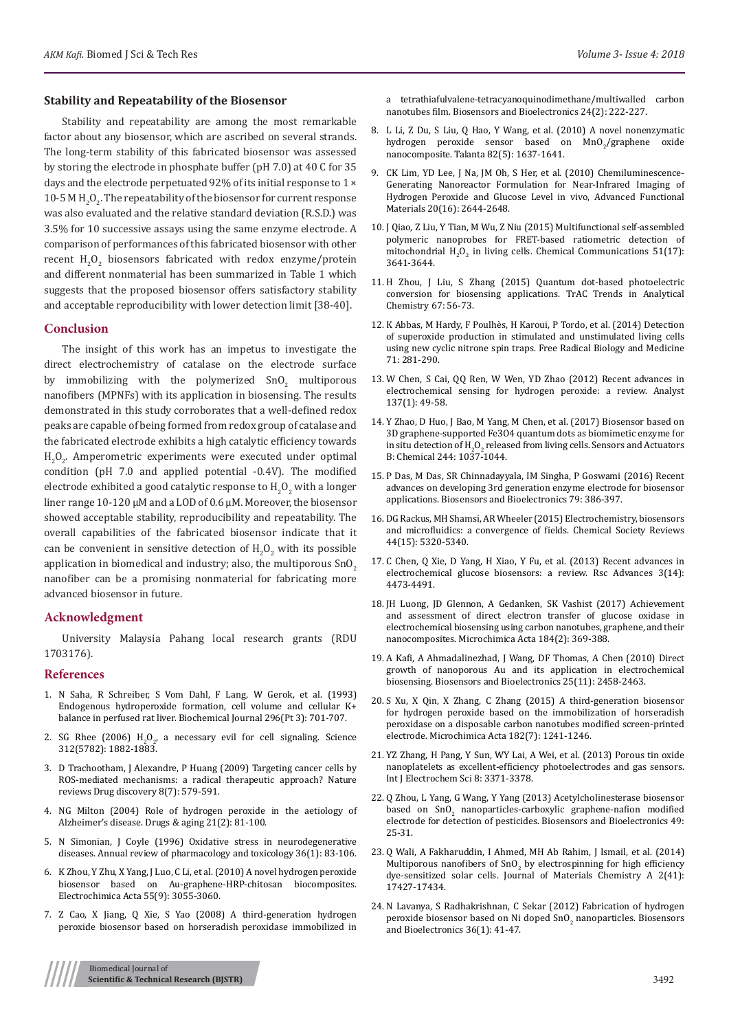#### **Stability and Repeatability of the Biosensor**

Stability and repeatability are among the most remarkable factor about any biosensor, which are ascribed on several strands. The long-term stability of this fabricated biosensor was assessed by storing the electrode in phosphate buffer (pH 7.0) at 40 C for 35 days and the electrode perpetuated 92% of its initial response to 1 ×  $10$ -5 M H<sub>2</sub>O<sub>2</sub>. The repeatability of the biosensor for current response was also evaluated and the relative standard deviation (R.S.D.) was 3.5% for 10 successive assays using the same enzyme electrode. A comparison of performances of this fabricated biosensor with other recent  $H_2O_2$  biosensors fabricated with redox enzyme/protein and different nonmaterial has been summarized in Table 1 which suggests that the proposed biosensor offers satisfactory stability and acceptable reproducibility with lower detection limit [38-40].

#### **Conclusion**

The insight of this work has an impetus to investigate the direct electrochemistry of catalase on the electrode surface by immobilizing with the polymerized  $SnO<sub>2</sub>$  multiporous nanofibers (MPNFs) with its application in biosensing. The results demonstrated in this study corroborates that a well-defined redox peaks are capable of being formed from redox group of catalase and the fabricated electrode exhibits a high catalytic efficiency towards  ${\rm H}_{2}{\rm O}_{2}$ . Amperometric experiments were executed under optimal condition (pH 7.0 and applied potential -0.4V). The modified electrode exhibited a good catalytic response to  $\mathrm{H}_{2}\mathrm{O}_{2}$  with a longer liner range 10-120 μM and a LOD of 0.6 μM. Moreover, the biosensor showed acceptable stability, reproducibility and repeatability. The overall capabilities of the fabricated biosensor indicate that it can be convenient in sensitive detection of  $H_2O_2$  with its possible application in biomedical and industry; also, the multiporous  $SnO<sub>2</sub>$ nanofiber can be a promising nonmaterial for fabricating more advanced biosensor in future.

#### **Acknowledgment**

University Malaysia Pahang local research grants (RDU 1703176).

#### **References**

- 1. [N Saha, R Schreiber, S Vom Dahl, F Lang, W Gerok, et al. \(1993\)](https://www.ncbi.nlm.nih.gov/pmc/articles/PMC1137753/)  [Endogenous hydroperoxide formation, cell volume and cellular K+](https://www.ncbi.nlm.nih.gov/pmc/articles/PMC1137753/)  [balance in perfused rat liver. Biochemical Journal 296\(Pt 3\): 701-707.](https://www.ncbi.nlm.nih.gov/pmc/articles/PMC1137753/)
- 2. SG Rhee (2006)  $H_2O_2$ , a necessary evil for cell signaling. Science [312\(5782\): 1882-1883.](https://www.ncbi.nlm.nih.gov/pubmed/16809515)
- 3. [D Trachootham, J Alexandre, P Huang \(2009\) Targeting cancer cells by](https://www.nature.com/articles/nrd2803)  [ROS-mediated mechanisms: a radical therapeutic approach? Nature](https://www.nature.com/articles/nrd2803)  [reviews Drug discovery 8\(7\): 579-591.](https://www.nature.com/articles/nrd2803)
- 4. [NG Milton \(2004\) Role of hydrogen peroxide in the aetiology of](https://www.ncbi.nlm.nih.gov/pubmed/14960126)  [Alzheimer's disease. Drugs & aging 21\(2\): 81-100.](https://www.ncbi.nlm.nih.gov/pubmed/14960126)
- 5. [N Simonian, J Coyle \(1996\) Oxidative stress in neurodegenerative](https://www.ncbi.nlm.nih.gov/pubmed/8725383)  [diseases. Annual review of pharmacology and toxicology 36\(1\): 83-106.](https://www.ncbi.nlm.nih.gov/pubmed/8725383)
- 6. [K Zhou, Y Zhu, X Yang, J Luo, C Li, et al. \(2010\) A novel hydrogen peroxide](https://www.sciencedirect.com/science/article/pii/S0013468610000964)  [biosensor based on Au-graphene-HRP-chitosan biocomposites.](https://www.sciencedirect.com/science/article/pii/S0013468610000964)  [Electrochimica Acta 55\(9\): 3055-3060.](https://www.sciencedirect.com/science/article/pii/S0013468610000964)
- 7. [Z Cao, X Jiang, Q Xie, S Yao \(2008\) A third-generation hydrogen](https://www.ncbi.nlm.nih.gov/pubmed/18479905)  [peroxide biosensor based on horseradish peroxidase immobilized in](https://www.ncbi.nlm.nih.gov/pubmed/18479905)

[a tetrathiafulvalene-tetracyanoquinodimethane/multiwalled carbon](https://www.ncbi.nlm.nih.gov/pubmed/18479905) [nanotubes film. Biosensors and Bioelectronics 24\(2\): 222-227.](https://www.ncbi.nlm.nih.gov/pubmed/18479905)

- 8. [L Li, Z Du, S Liu, Q Hao, Y Wang, et al. \(2010\) A novel nonenzymatic](https://www.sciencedirect.com/science/article/pii/S0039914010005345) hydrogen peroxide sensor based on  $MnO_2/g$ raphene oxide [nanocomposite. Talanta 82\(5\): 1637-1641.](https://www.sciencedirect.com/science/article/pii/S0039914010005345)
- 9. [CK Lim, YD Lee, J Na, JM Oh, S Her, et al. \(2010\) Chemiluminescence‐](https://onlinelibrary.wiley.com/doi/abs/10.1002/adfm.201000780) [Generating Nanoreactor Formulation for Near‐Infrared Imaging of](https://onlinelibrary.wiley.com/doi/abs/10.1002/adfm.201000780) [Hydrogen Peroxide and Glucose Level in vivo, Advanced Functional](https://onlinelibrary.wiley.com/doi/abs/10.1002/adfm.201000780) [Materials 20\(16\): 2644-2648.](https://onlinelibrary.wiley.com/doi/abs/10.1002/adfm.201000780)
- 10. J Qiao, Z Liu, Y Tian, M Wu, Z Niu (2015) Multifunctional self-assembled polymeric nanoprobes for FRET-based ratiometric detection of mitochondrial  $H_2O_2$  in living cells. Chemical Communications 51(17): 3641-3644.
- 11. [H Zhou, J Liu, S Zhang \(2015\) Quantum dot-based photoelectric](https://www.sciencedirect.com/science/article/pii/S016599361500028X) [conversion for biosensing applications. TrAC Trends in Analytical](https://www.sciencedirect.com/science/article/pii/S016599361500028X) [Chemistry 67: 56-73.](https://www.sciencedirect.com/science/article/pii/S016599361500028X)
- 12. [K Abbas, M Hardy, F Poulhès, H Karoui, P Tordo, et al. \(2014\) Detection](https://www.ncbi.nlm.nih.gov/pubmed/24662195) [of superoxide production in stimulated and unstimulated living cells](https://www.ncbi.nlm.nih.gov/pubmed/24662195) [using new cyclic nitrone spin traps. Free Radical Biology and Medicine](https://www.ncbi.nlm.nih.gov/pubmed/24662195) [71: 281-290.](https://www.ncbi.nlm.nih.gov/pubmed/24662195)
- 13. W Chen, S Cai, QQ Ren, W Wen, YD Zhao (2012) Recent advances in electrochemical sensing for hydrogen peroxide: a review. Analyst 137(1): 49-58.
- 14. [Y Zhao, D Huo, J Bao, M Yang, M Chen, et al. \(2017\) Biosensor based on](https://www.sciencedirect.com/science/article/pii/S0925400517300369) [3D graphene-supported Fe3O4 quantum dots as biomimetic enzyme for](https://www.sciencedirect.com/science/article/pii/S0925400517300369) in situ detection of  $H_2O_2$  [released from living cells. Sensors and Actuators](https://www.sciencedirect.com/science/article/pii/S0925400517300369) [B: Chemical 244: 1037-1044.](https://www.sciencedirect.com/science/article/pii/S0925400517300369)
- 15. [P Das, M Das, SR Chinnadayyala, IM Singha, P Goswami \(2016\) Recent](https://www.sciencedirect.com/science/article/pii/S0956566315307089) [advances on developing 3rd generation enzyme electrode for biosensor](https://www.sciencedirect.com/science/article/pii/S0956566315307089) [applications. Biosensors and Bioelectronics 79: 386-397.](https://www.sciencedirect.com/science/article/pii/S0956566315307089)
- 16. [DG Rackus, MH Shamsi, AR Wheeler \(2015\) Electrochemistry, biosensors](http://www.chemeurope.com/en/publications/806563/electrochemistry-biosensors-and-microfluidics-a-convergence-of-fields.html) [and microfluidics: a convergence of fields. Chemical Society Reviews](http://www.chemeurope.com/en/publications/806563/electrochemistry-biosensors-and-microfluidics-a-convergence-of-fields.html) [44\(15\): 5320-5340.](http://www.chemeurope.com/en/publications/806563/electrochemistry-biosensors-and-microfluidics-a-convergence-of-fields.html)
- 17. C Chen, Q Xie, D Yang, H Xiao, Y Fu, et al. (2013) Recent advances in electrochemical glucose biosensors: a review. Rsc Advances 3(14): 4473-4491.
- 18. [JH Luong, JD Glennon, A Gedanken, SK Vashist \(2017\) Achievement](https://link.springer.com/article/10.1007/s00604-016-2049-3) [and assessment of direct electron transfer of glucose oxidase in](https://link.springer.com/article/10.1007/s00604-016-2049-3) [electrochemical biosensing using carbon nanotubes, graphene, and their](https://link.springer.com/article/10.1007/s00604-016-2049-3) [nanocomposites. Microchimica Acta 184\(2\): 369-388.](https://link.springer.com/article/10.1007/s00604-016-2049-3)
- 19. [A Kafi, A Ahmadalinezhad, J Wang, DF Thomas, A Chen \(2010\) Direct](https://www.ncbi.nlm.nih.gov/pubmed/20435460) [growth of nanoporous Au and its application in electrochemical](https://www.ncbi.nlm.nih.gov/pubmed/20435460) [biosensing. Biosensors and Bioelectronics 25\(11\): 2458-2463.](https://www.ncbi.nlm.nih.gov/pubmed/20435460)
- 20. [S Xu, X Qin, X Zhang, C Zhang \(2015\) A third-generation biosensor](https://link.springer.com/article/10.1007%2Fs00604-014-1444-x) [for hydrogen peroxide based on the immobilization of horseradish](https://link.springer.com/article/10.1007%2Fs00604-014-1444-x) [peroxidase on a disposable carbon nanotubes modified screen-printed](https://link.springer.com/article/10.1007%2Fs00604-014-1444-x) [electrode. Microchimica Acta 182\(7\): 1241-1246.](https://link.springer.com/article/10.1007%2Fs00604-014-1444-x)
- 21. [YZ Zhang, H Pang, Y Sun, WY Lai, A Wei, et al. \(2013\) Porous tin oxide](https://www.researchgate.net/publication/279908673_Porous_Tin_Oxide_Nanoplatelets_as_Excellent-Efficiency_Photoelectrodes_and_Gas_Sensors) [nanoplatelets as excellent-efficiency photoelectrodes and gas sensors.](https://www.researchgate.net/publication/279908673_Porous_Tin_Oxide_Nanoplatelets_as_Excellent-Efficiency_Photoelectrodes_and_Gas_Sensors) [Int J Electrochem Sci 8: 3371-3378.](https://www.researchgate.net/publication/279908673_Porous_Tin_Oxide_Nanoplatelets_as_Excellent-Efficiency_Photoelectrodes_and_Gas_Sensors)
- 22. [Q Zhou, L Yang, G Wang, Y Yang \(2013\) Acetylcholinesterase biosensor](https://www.ncbi.nlm.nih.gov/pubmed/23708814) based on  $\text{SnO}_2$  [nanoparticles-carboxylic graphene-nafion modified](https://www.ncbi.nlm.nih.gov/pubmed/23708814) [electrode for detection of pesticides. Biosensors and Bioelectronics 49:](https://www.ncbi.nlm.nih.gov/pubmed/23708814) [25-31.](https://www.ncbi.nlm.nih.gov/pubmed/23708814)
- 23. Q Wali, A Fakharuddin, I Ahmed, MH Ab Rahim, J Ismail, et al. (2014) Multiporous nanofibers of  $\text{SnO}_2$  by electrospinning for high efficiency dye-sensitized solar cells. Journal of Materials Chemistry A 2(41): 17427-17434.
- 24. [N Lavanya, S Radhakrishnan, C Sekar \(2012\) Fabrication of hydrogen](https://www.sciencedirect.com/science/article/pii/S0956566312002059) peroxide biosensor based on Ni doped  $SnO<sub>2</sub>$  nanoparticles. Biosensors [and Bioelectronics 36\(1\): 41-47.](https://www.sciencedirect.com/science/article/pii/S0956566312002059)